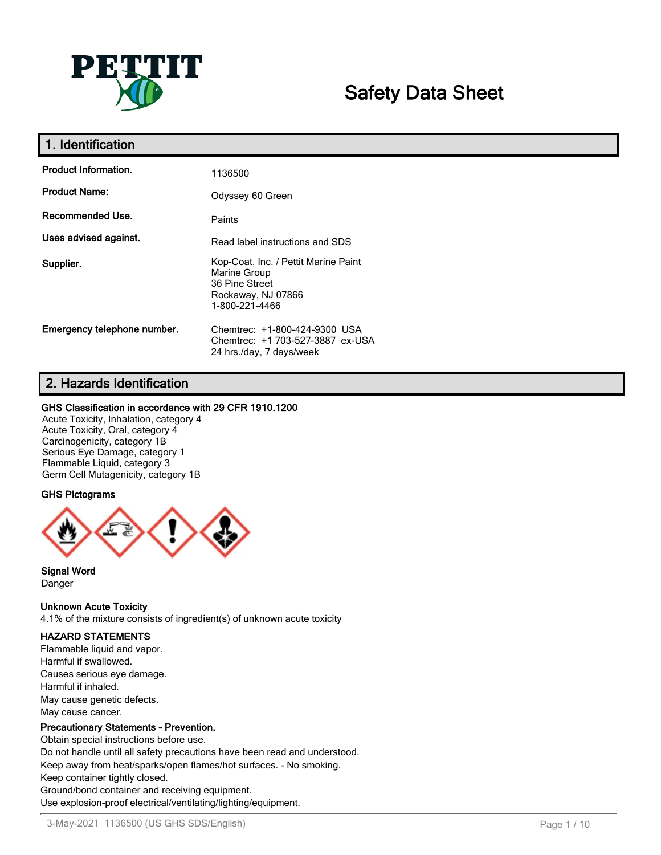

# **Safety Data Sheet**

| 1. Identification           |                                                                                                                |
|-----------------------------|----------------------------------------------------------------------------------------------------------------|
| <b>Product Information.</b> | 1136500                                                                                                        |
| <b>Product Name:</b>        | Odyssey 60 Green                                                                                               |
| <b>Recommended Use.</b>     | Paints                                                                                                         |
| Uses advised against.       | Read label instructions and SDS                                                                                |
| Supplier.                   | Kop-Coat, Inc. / Pettit Marine Paint<br>Marine Group<br>36 Pine Street<br>Rockaway, NJ 07866<br>1-800-221-4466 |
| Emergency telephone number. | Chemtrec: +1-800-424-9300 USA<br>Chemtrec: +1 703-527-3887 ex-USA<br>24 hrs./day, 7 days/week                  |

## **2. Hazards Identification**

## **GHS Classification in accordance with 29 CFR 1910.1200**

Acute Toxicity, Inhalation, category 4 Acute Toxicity, Oral, category 4 Carcinogenicity, category 1B Serious Eye Damage, category 1 Flammable Liquid, category 3 Germ Cell Mutagenicity, category 1B

## **GHS Pictograms**



**Signal Word** Danger

## **Unknown Acute Toxicity**

4.1% of the mixture consists of ingredient(s) of unknown acute toxicity

## **HAZARD STATEMENTS**

Flammable liquid and vapor. Harmful if swallowed. Causes serious eye damage. Harmful if inhaled. May cause genetic defects. May cause cancer.

## **Precautionary Statements - Prevention.**

Obtain special instructions before use. Do not handle until all safety precautions have been read and understood. Keep away from heat/sparks/open flames/hot surfaces. - No smoking. Keep container tightly closed. Ground/bond container and receiving equipment. Use explosion-proof electrical/ventilating/lighting/equipment.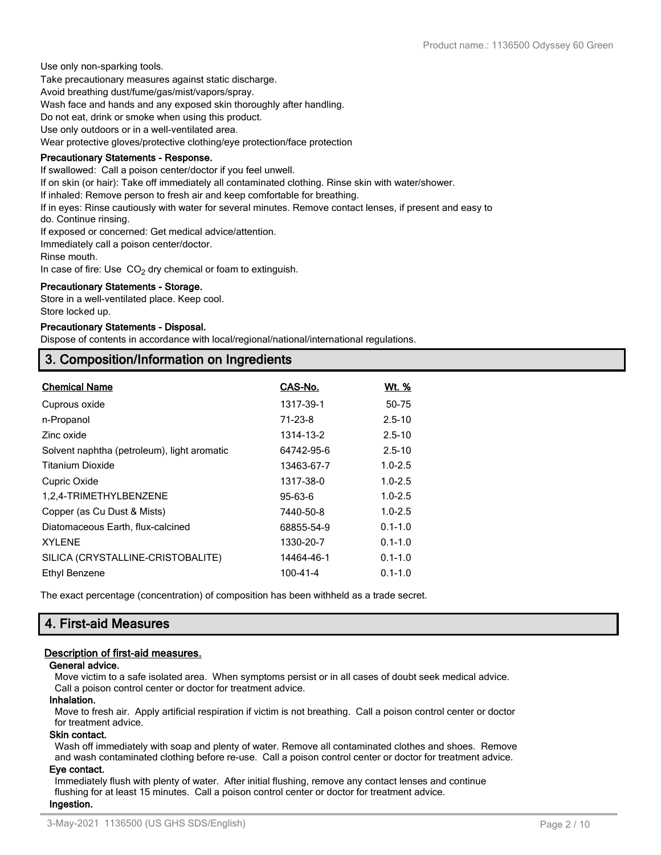Use only non-sparking tools. Take precautionary measures against static discharge.

Avoid breathing dust/fume/gas/mist/vapors/spray.

Wash face and hands and any exposed skin thoroughly after handling.

Do not eat, drink or smoke when using this product.

Use only outdoors or in a well-ventilated area.

Wear protective gloves/protective clothing/eye protection/face protection

## **Precautionary Statements - Response.**

If swallowed: Call a poison center/doctor if you feel unwell.

If on skin (or hair): Take off immediately all contaminated clothing. Rinse skin with water/shower.

If inhaled: Remove person to fresh air and keep comfortable for breathing.

If in eyes: Rinse cautiously with water for several minutes. Remove contact lenses, if present and easy to

do. Continue rinsing.

If exposed or concerned: Get medical advice/attention.

Immediately call a poison center/doctor.

Rinse mouth.

In case of fire: Use  $CO<sub>2</sub>$  dry chemical or foam to extinguish.

#### **Precautionary Statements - Storage.**

Store in a well-ventilated place. Keep cool. Store locked up.

#### **Precautionary Statements - Disposal.**

Dispose of contents in accordance with local/regional/national/international regulations.

## **3. Composition/Information on Ingredients**

| <b>Chemical Name</b>                        | CAS-No.       | <u>Wt. %</u> |
|---------------------------------------------|---------------|--------------|
| Cuprous oxide                               | 1317-39-1     | 50-75        |
| n-Propanol                                  | $71 - 23 - 8$ | $2.5 - 10$   |
| Zinc oxide                                  | 1314-13-2     | $2.5 - 10$   |
| Solvent naphtha (petroleum), light aromatic | 64742-95-6    | $2.5 - 10$   |
| <b>Titanium Dioxide</b>                     | 13463-67-7    | $1.0 - 2.5$  |
| Cupric Oxide                                | 1317-38-0     | $1.0 - 2.5$  |
| 1,2,4-TRIMETHYLBENZENE                      | 95-63-6       | $1.0 - 2.5$  |
| Copper (as Cu Dust & Mists)                 | 7440-50-8     | $1.0 - 2.5$  |
| Diatomaceous Earth, flux-calcined           | 68855-54-9    | $0.1 - 1.0$  |
| <b>XYLENE</b>                               | 1330-20-7     | $0.1 - 1.0$  |
| SILICA (CRYSTALLINE-CRISTOBALITE)           | 14464-46-1    | $0.1 - 1.0$  |
| Ethyl Benzene                               | 100-41-4      | $0.1 - 1.0$  |

The exact percentage (concentration) of composition has been withheld as a trade secret.

## **4. First-aid Measures**

## **Description of first-aid measures.**

## **General advice.**

Move victim to a safe isolated area. When symptoms persist or in all cases of doubt seek medical advice. Call a poison control center or doctor for treatment advice.

## **Inhalation.**

Move to fresh air. Apply artificial respiration if victim is not breathing. Call a poison control center or doctor for treatment advice.

### **Skin contact.**

Wash off immediately with soap and plenty of water. Remove all contaminated clothes and shoes. Remove and wash contaminated clothing before re-use. Call a poison control center or doctor for treatment advice.

#### **Eye contact.**

Immediately flush with plenty of water. After initial flushing, remove any contact lenses and continue flushing for at least 15 minutes. Call a poison control center or doctor for treatment advice. **Ingestion.**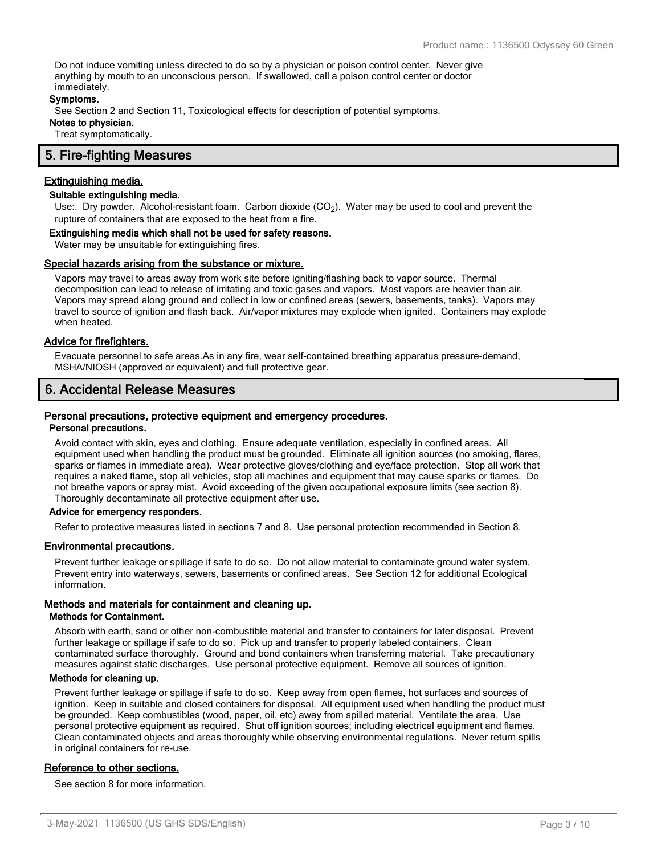Do not induce vomiting unless directed to do so by a physician or poison control center. Never give anything by mouth to an unconscious person. If swallowed, call a poison control center or doctor immediately.

#### **Symptoms.**

See Section 2 and Section 11, Toxicological effects for description of potential symptoms.

**Notes to physician.**

Treat symptomatically.

## **5. Fire-fighting Measures**

## **Extinguishing media.**

## **Suitable extinguishing media.**

Use:. Dry powder. Alcohol-resistant foam. Carbon dioxide (CO<sub>2</sub>). Water may be used to cool and prevent the rupture of containers that are exposed to the heat from a fire.

#### **Extinguishing media which shall not be used for safety reasons.**

Water may be unsuitable for extinguishing fires.

#### **Special hazards arising from the substance or mixture.**

Vapors may travel to areas away from work site before igniting/flashing back to vapor source. Thermal decomposition can lead to release of irritating and toxic gases and vapors. Most vapors are heavier than air. Vapors may spread along ground and collect in low or confined areas (sewers, basements, tanks). Vapors may travel to source of ignition and flash back. Air/vapor mixtures may explode when ignited. Containers may explode when heated.

#### **Advice for firefighters.**

Evacuate personnel to safe areas.As in any fire, wear self-contained breathing apparatus pressure-demand, MSHA/NIOSH (approved or equivalent) and full protective gear.

## **6. Accidental Release Measures**

#### **Personal precautions, protective equipment and emergency procedures.**

### **Personal precautions.**

Avoid contact with skin, eyes and clothing. Ensure adequate ventilation, especially in confined areas. All equipment used when handling the product must be grounded. Eliminate all ignition sources (no smoking, flares, sparks or flames in immediate area). Wear protective gloves/clothing and eye/face protection. Stop all work that requires a naked flame, stop all vehicles, stop all machines and equipment that may cause sparks or flames. Do not breathe vapors or spray mist. Avoid exceeding of the given occupational exposure limits (see section 8). Thoroughly decontaminate all protective equipment after use.

#### **Advice for emergency responders.**

Refer to protective measures listed in sections 7 and 8. Use personal protection recommended in Section 8.

#### **Environmental precautions.**

Prevent further leakage or spillage if safe to do so. Do not allow material to contaminate ground water system. Prevent entry into waterways, sewers, basements or confined areas. See Section 12 for additional Ecological information.

#### **Methods and materials for containment and cleaning up.**

#### **Methods for Containment.**

Absorb with earth, sand or other non-combustible material and transfer to containers for later disposal. Prevent further leakage or spillage if safe to do so. Pick up and transfer to properly labeled containers. Clean contaminated surface thoroughly. Ground and bond containers when transferring material. Take precautionary measures against static discharges. Use personal protective equipment. Remove all sources of ignition.

#### **Methods for cleaning up.**

Prevent further leakage or spillage if safe to do so. Keep away from open flames, hot surfaces and sources of ignition. Keep in suitable and closed containers for disposal. All equipment used when handling the product must be grounded. Keep combustibles (wood, paper, oil, etc) away from spilled material. Ventilate the area. Use personal protective equipment as required. Shut off ignition sources; including electrical equipment and flames. Clean contaminated objects and areas thoroughly while observing environmental regulations. Never return spills in original containers for re-use.

#### **Reference to other sections.**

See section 8 for more information.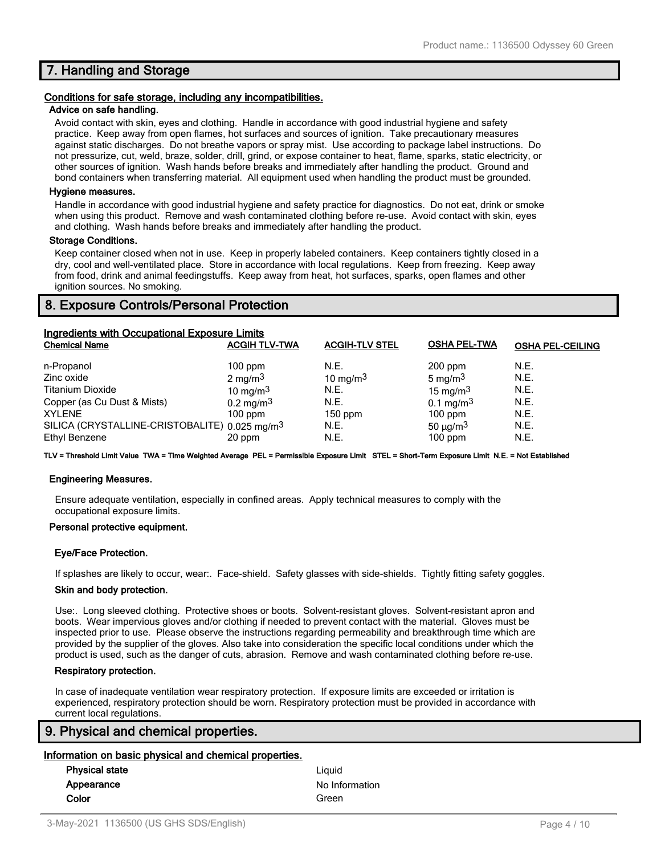## **7. Handling and Storage**

#### **Conditions for safe storage, including any incompatibilities.**

#### **Advice on safe handling.**

Avoid contact with skin, eyes and clothing. Handle in accordance with good industrial hygiene and safety practice. Keep away from open flames, hot surfaces and sources of ignition. Take precautionary measures against static discharges. Do not breathe vapors or spray mist. Use according to package label instructions. Do not pressurize, cut, weld, braze, solder, drill, grind, or expose container to heat, flame, sparks, static electricity, or other sources of ignition. Wash hands before breaks and immediately after handling the product. Ground and bond containers when transferring material. All equipment used when handling the product must be grounded.

#### **Hygiene measures.**

Handle in accordance with good industrial hygiene and safety practice for diagnostics. Do not eat, drink or smoke when using this product. Remove and wash contaminated clothing before re-use. Avoid contact with skin, eyes and clothing. Wash hands before breaks and immediately after handling the product.

#### **Storage Conditions.**

Keep container closed when not in use. Keep in properly labeled containers. Keep containers tightly closed in a dry, cool and well-ventilated place. Store in accordance with local regulations. Keep from freezing. Keep away from food, drink and animal feedingstuffs. Keep away from heat, hot surfaces, sparks, open flames and other ignition sources. No smoking.

## **8. Exposure Controls/Personal Protection**

| Ingredients with Occupational Exposure Limits             |                      |                       |                           |                         |
|-----------------------------------------------------------|----------------------|-----------------------|---------------------------|-------------------------|
| <b>Chemical Name</b>                                      | <b>ACGIH TLV-TWA</b> | <b>ACGIH-TLV STEL</b> | <b>OSHA PEL-TWA</b>       | <b>OSHA PEL-CEILING</b> |
| n-Propanol                                                | $100$ ppm            | N.E.                  | $200$ ppm                 | N.E.                    |
| Zinc oxide                                                | $2 \text{ mg/m}^3$   | 10 mg/m $3$           | 5 mg/m $3$                | N.E.                    |
| <b>Titanium Dioxide</b>                                   | 10 mg/m $3$          | N.E.                  | 15 mg/m $3$               | N.E.                    |
| Copper (as Cu Dust & Mists)                               | $0.2 \text{ mg/m}^3$ | N.E.                  | $0.1 \text{ mg/m}^3$      | N.E.                    |
| <b>XYLENE</b>                                             | $100$ ppm            | $150$ ppm             | $100$ ppm                 | N.E.                    |
| SILICA (CRYSTALLINE-CRISTOBALITE) 0.025 mg/m <sup>3</sup> |                      | N.E.                  | 50 $\mu$ g/m <sup>3</sup> | N.E.                    |
| Ethyl Benzene                                             | 20 ppm               | N.E.                  | $100$ ppm                 | N.E.                    |

**TLV = Threshold Limit Value TWA = Time Weighted Average PEL = Permissible Exposure Limit STEL = Short-Term Exposure Limit N.E. = Not Established**

#### **Engineering Measures.**

Ensure adequate ventilation, especially in confined areas. Apply technical measures to comply with the occupational exposure limits.

#### **Personal protective equipment.**

#### **Eye/Face Protection.**

If splashes are likely to occur, wear:. Face-shield. Safety glasses with side-shields. Tightly fitting safety goggles.

#### **Skin and body protection.**

Use:. Long sleeved clothing. Protective shoes or boots. Solvent-resistant gloves. Solvent-resistant apron and boots. Wear impervious gloves and/or clothing if needed to prevent contact with the material. Gloves must be inspected prior to use. Please observe the instructions regarding permeability and breakthrough time which are provided by the supplier of the gloves. Also take into consideration the specific local conditions under which the product is used, such as the danger of cuts, abrasion. Remove and wash contaminated clothing before re-use.

#### **Respiratory protection.**

In case of inadequate ventilation wear respiratory protection. If exposure limits are exceeded or irritation is experienced, respiratory protection should be worn. Respiratory protection must be provided in accordance with current local regulations.

## **9. Physical and chemical properties.**

#### **Information on basic physical and chemical properties.**

| <b>Physical state</b> | Liauid         |
|-----------------------|----------------|
| Appearance            | No Information |
| Color                 | Green          |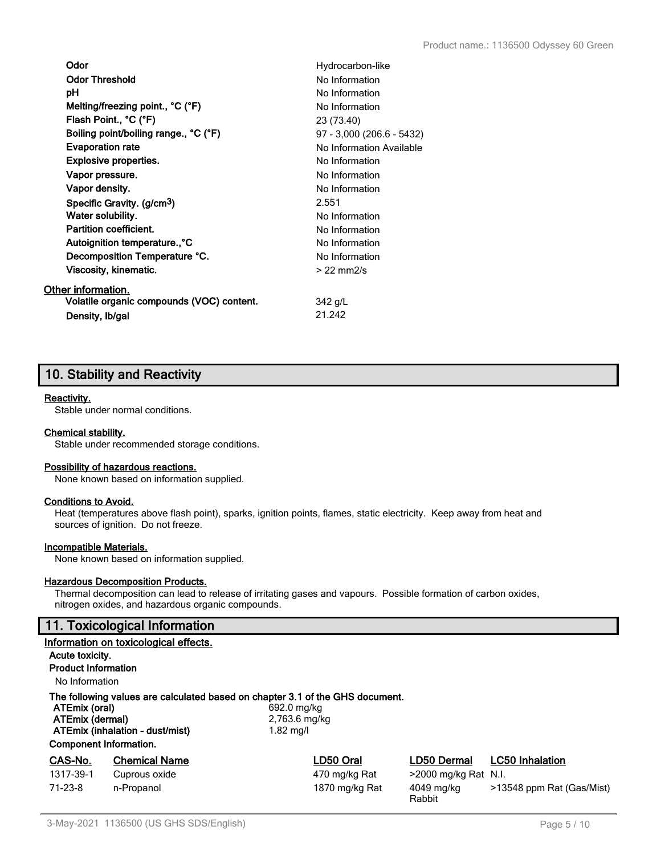| Odor                                      | Hydrocarbon-like          |
|-------------------------------------------|---------------------------|
| <b>Odor Threshold</b>                     | No Information            |
| рH                                        | No Information            |
| Melting/freezing point., °C (°F)          | No Information            |
| Flash Point., °C (°F)                     | 23 (73.40)                |
| Boiling point/boiling range., °C (°F)     | 97 - 3,000 (206.6 - 5432) |
| <b>Evaporation rate</b>                   | No Information Available  |
| <b>Explosive properties.</b>              | No Information            |
| Vapor pressure.                           | No Information            |
| Vapor density.                            | No Information            |
| Specific Gravity. (g/cm <sup>3</sup> )    | 2.551                     |
| Water solubility.                         | No Information            |
| Partition coefficient.                    | No Information            |
| Autoignition temperature., °C             | No Information            |
| Decomposition Temperature °C.             | No Information            |
| Viscosity, kinematic.                     | $>$ 22 mm $2/s$           |
| Other information.                        |                           |
| Volatile organic compounds (VOC) content. | 342 g/L                   |
| Density, Ib/gal                           | 21.242                    |

## **10. Stability and Reactivity**

## **Reactivity.**

Stable under normal conditions.

#### **Chemical stability.**

Stable under recommended storage conditions.

#### **Possibility of hazardous reactions.**

None known based on information supplied.

#### **Conditions to Avoid.**

Heat (temperatures above flash point), sparks, ignition points, flames, static electricity. Keep away from heat and sources of ignition. Do not freeze.

### **Incompatible Materials.**

None known based on information supplied.

#### **Hazardous Decomposition Products.**

Thermal decomposition can lead to release of irritating gases and vapours. Possible formation of carbon oxides, nitrogen oxides, and hazardous organic compounds.

## **11. Toxicological Information**

|                                                                                                                                                                                       | Information on toxicological effects. |                                             |                      |                           |
|---------------------------------------------------------------------------------------------------------------------------------------------------------------------------------------|---------------------------------------|---------------------------------------------|----------------------|---------------------------|
| Acute toxicity.                                                                                                                                                                       |                                       |                                             |                      |                           |
| <b>Product Information</b>                                                                                                                                                            |                                       |                                             |                      |                           |
| No Information                                                                                                                                                                        |                                       |                                             |                      |                           |
| The following values are calculated based on chapter 3.1 of the GHS document.<br>ATEmix (oral)<br>ATEmix (dermal)<br>ATEmix (inhalation - dust/mist)<br><b>Component Information.</b> |                                       | 692.0 mg/kg<br>2,763.6 mg/kg<br>$1.82$ mg/l |                      |                           |
| CAS-No.                                                                                                                                                                               | <b>Chemical Name</b>                  | LD50 Oral                                   | <b>LD50 Dermal</b>   | <b>LC50 Inhalation</b>    |
| 1317-39-1                                                                                                                                                                             | Cuprous oxide                         | 470 mg/kg Rat                               | >2000 mg/kg Rat N.I. |                           |
| $71-23-8$                                                                                                                                                                             | n-Propanol                            | 1870 mg/kg Rat                              | 4049 mg/kg<br>Rabbit | >13548 ppm Rat (Gas/Mist) |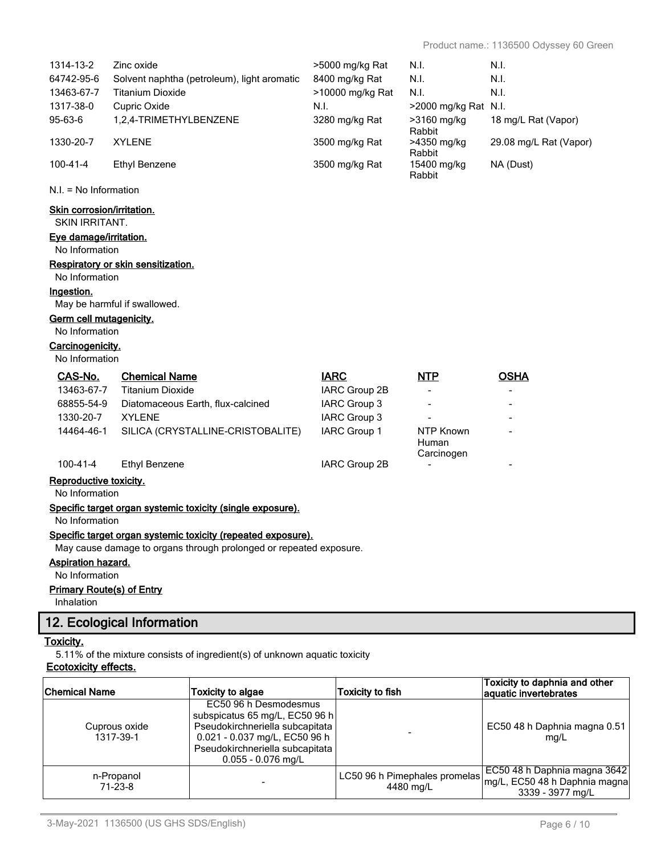|                                          | Cuprous oxide                                   | subspicatus 65 mg/L, EC50 96 h<br>Pseudokirchneriella subcapitata                                                                  |                              |                           | EC50 48 h Daphnia magna 0.51                           |
|------------------------------------------|-------------------------------------------------|------------------------------------------------------------------------------------------------------------------------------------|------------------------------|---------------------------|--------------------------------------------------------|
| <b>Chemical Name</b>                     |                                                 | <b>Toxicity to algae</b><br>EC50 96 h Desmodesmus                                                                                  | <b>Toxicity to fish</b>      |                           | Toxicity to daphnia and other<br>aquatic invertebrates |
| <b>Ecotoxicity effects.</b>              |                                                 | 5.11% of the mixture consists of ingredient(s) of unknown aquatic toxicity                                                         |                              |                           |                                                        |
| <b>Toxicity.</b>                         | 12. Ecological Information                      |                                                                                                                                    |                              |                           |                                                        |
| Inhalation                               |                                                 |                                                                                                                                    |                              |                           |                                                        |
| <b>Primary Route(s) of Entry</b>         |                                                 |                                                                                                                                    |                              |                           |                                                        |
| No Information                           |                                                 |                                                                                                                                    |                              |                           |                                                        |
| <b>Aspiration hazard.</b>                |                                                 |                                                                                                                                    |                              |                           |                                                        |
|                                          |                                                 | Specific target organ systemic toxicity (repeated exposure).<br>May cause damage to organs through prolonged or repeated exposure. |                              |                           |                                                        |
| No Information                           |                                                 |                                                                                                                                    |                              |                           |                                                        |
|                                          |                                                 | Specific target organ systemic toxicity (single exposure).                                                                         |                              |                           |                                                        |
| Reproductive toxicity.<br>No Information |                                                 |                                                                                                                                    |                              |                           |                                                        |
| $100 - 41 - 4$                           | <b>Ethyl Benzene</b>                            |                                                                                                                                    | IARC Group 2B                |                           |                                                        |
|                                          |                                                 |                                                                                                                                    |                              | Carcinogen                |                                                        |
| 14464-46-1                               |                                                 | SILICA (CRYSTALLINE-CRISTOBALITE)                                                                                                  | IARC Group 1                 | <b>NTP Known</b><br>Human |                                                        |
| 1330-20-7                                | <b>XYLENE</b>                                   |                                                                                                                                    | IARC Group 3                 |                           |                                                        |
| 68855-54-9                               |                                                 | Diatomaceous Earth, flux-calcined                                                                                                  | IARC Group 3                 |                           |                                                        |
| CAS-No.<br>13463-67-7                    | <b>Chemical Name</b><br><b>Titanium Dioxide</b> |                                                                                                                                    | <b>IARC</b><br>IARC Group 2B | <b>NTP</b>                | <b>OSHA</b>                                            |
| No Information                           |                                                 |                                                                                                                                    |                              |                           |                                                        |
| Carcinogenicity.                         |                                                 |                                                                                                                                    |                              |                           |                                                        |
| No Information                           |                                                 |                                                                                                                                    |                              |                           |                                                        |
| Germ cell mutagenicity.                  |                                                 |                                                                                                                                    |                              |                           |                                                        |
| Ingestion.                               | May be harmful if swallowed.                    |                                                                                                                                    |                              |                           |                                                        |
| No Information                           |                                                 |                                                                                                                                    |                              |                           |                                                        |
|                                          | Respiratory or skin sensitization.              |                                                                                                                                    |                              |                           |                                                        |
| Eye damage/irritation.<br>No Information |                                                 |                                                                                                                                    |                              |                           |                                                        |
| <b>SKIN IRRITANT.</b>                    |                                                 |                                                                                                                                    |                              |                           |                                                        |
| <b>Skin corrosion/irritation.</b>        |                                                 |                                                                                                                                    |                              |                           |                                                        |
| $N.I. = No Information$                  |                                                 |                                                                                                                                    |                              |                           |                                                        |
| $100 - 41 - 4$                           | <b>Ethyl Benzene</b>                            |                                                                                                                                    | 3500 mg/kg Rat               | 15400 mg/kg<br>Rabbit     | NA (Dust)                                              |
| 1330-20-7                                | <b>XYLENE</b>                                   |                                                                                                                                    | 3500 mg/kg Rat               | >4350 mg/kg<br>Rabbit     | 29.08 mg/L Rat (Vapor)                                 |
| 95-63-6                                  | 1,2,4-TRIMETHYLBENZENE                          |                                                                                                                                    | 3280 mg/kg Rat               | >3160 mg/kg<br>Rabbit     | 18 mg/L Rat (Vapor)                                    |
| 1317-38-0                                | Cupric Oxide                                    |                                                                                                                                    | N.I.                         | >2000 mg/kg Rat N.I.      |                                                        |
| 13463-67-7                               | <b>Titanium Dioxide</b>                         |                                                                                                                                    | >10000 mg/kg Rat             | N.I.                      | N.I.                                                   |
| 64742-95-6                               |                                                 | Solvent naphtha (petroleum), light aromatic                                                                                        | 8400 mg/kg Rat               | N.I.                      | N.I.                                                   |
| 1314-13-2                                | Zinc oxide                                      |                                                                                                                                    | >5000 mg/kg Rat              | N.I.                      | N.I.                                                   |

-

LC50 96 h Pimephales promelas 4480 mg/L

n-Propanol 71-23-8 -

0.021 - 0.037 mg/L, EC50 96 h Pseudokirchneriella subcapitata 0.055 - 0.076 mg/L

1317-39-1

mg/L

EC50 48 h Daphnia magna 3642 mg/L, EC50 48 h Daphnia magna 3339 - 3977 mg/L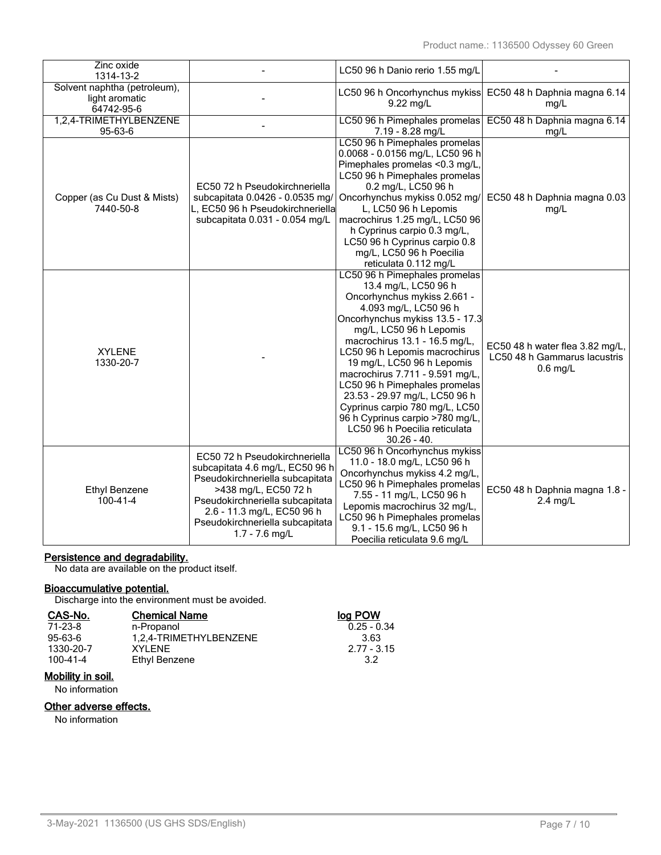| Zinc oxide<br>1314-13-2                                      |                                                                                                                                                                                                                                                     | LC50 96 h Danio rerio 1.55 mg/L                                                                                                                                                                                                                                                                                                                                                                                                                                                                         |                                                                               |
|--------------------------------------------------------------|-----------------------------------------------------------------------------------------------------------------------------------------------------------------------------------------------------------------------------------------------------|---------------------------------------------------------------------------------------------------------------------------------------------------------------------------------------------------------------------------------------------------------------------------------------------------------------------------------------------------------------------------------------------------------------------------------------------------------------------------------------------------------|-------------------------------------------------------------------------------|
| Solvent naphtha (petroleum),<br>light aromatic<br>64742-95-6 |                                                                                                                                                                                                                                                     | 9.22 mg/L                                                                                                                                                                                                                                                                                                                                                                                                                                                                                               | LC50 96 h Oncorhynchus mykiss EC50 48 h Daphnia magna 6.14<br>mg/L            |
| 1,2,4-TRIMETHYLBENZENE<br>95-63-6                            |                                                                                                                                                                                                                                                     | LC50 96 h Pimephales promelas<br>7.19 - 8.28 mg/L                                                                                                                                                                                                                                                                                                                                                                                                                                                       | EC50 48 h Daphnia magna 6.14<br>mg/L                                          |
| Copper (as Cu Dust & Mists)<br>7440-50-8                     | EC50 72 h Pseudokirchneriella<br>subcapitata 0.0426 - 0.0535 mg/<br>L, EC50 96 h Pseudokirchneriella<br>subcapitata 0.031 - 0.054 mg/L                                                                                                              | LC50 96 h Pimephales promelas<br>0.0068 - 0.0156 mg/L, LC50 96 h<br>Pimephales promelas <0.3 mg/L,<br>LC50 96 h Pimephales promelas<br>0.2 mg/L, LC50 96 h<br>Oncorhynchus mykiss 0.052 mg/<br>L, LC50 96 h Lepomis<br>macrochirus 1.25 mg/L, LC50 96<br>h Cyprinus carpio 0.3 mg/L,<br>LC50 96 h Cyprinus carpio 0.8<br>mg/L, LC50 96 h Poecilia<br>reticulata 0.112 mg/L                                                                                                                              | EC50 48 h Daphnia magna 0.03<br>mg/L                                          |
| <b>XYLENE</b><br>1330-20-7                                   |                                                                                                                                                                                                                                                     | LC50 96 h Pimephales promelas<br>13.4 mg/L, LC50 96 h<br>Oncorhynchus mykiss 2.661 -<br>4.093 mg/L, LC50 96 h<br>Oncorhynchus mykiss 13.5 - 17.3<br>mg/L, LC50 96 h Lepomis<br>macrochirus 13.1 - 16.5 mg/L,<br>LC50 96 h Lepomis macrochirus<br>19 mg/L, LC50 96 h Lepomis<br>macrochirus 7.711 - 9.591 mg/L,<br>LC50 96 h Pimephales promelas<br>23.53 - 29.97 mg/L, LC50 96 h<br>Cyprinus carpio 780 mg/L, LC50<br>96 h Cyprinus carpio >780 mg/L,<br>LC50 96 h Poecilia reticulata<br>$30.26 - 40.$ | EC50 48 h water flea 3.82 mg/L,<br>LC50 48 h Gammarus lacustris<br>$0.6$ mg/L |
| Ethyl Benzene<br>100-41-4                                    | EC50 72 h Pseudokirchneriella<br>subcapitata 4.6 mg/L, EC50 96 h<br>Pseudokirchneriella subcapitata<br>>438 mg/L, EC50 72 h<br>Pseudokirchneriella subcapitata<br>2.6 - 11.3 mg/L, EC50 96 h<br>Pseudokirchneriella subcapitata<br>$1.7 - 7.6$ mg/L | LC50 96 h Oncorhynchus mykiss<br>11.0 - 18.0 mg/L, LC50 96 h<br>Oncorhynchus mykiss 4.2 mg/L,<br>LC50 96 h Pimephales promelas<br>7.55 - 11 mg/L, LC50 96 h<br>Lepomis macrochirus 32 mg/L,<br>LC50 96 h Pimephales promelas<br>9.1 - 15.6 mg/L, LC50 96 h<br>Poecilia reticulata 9.6 mg/L                                                                                                                                                                                                              | EC50 48 h Daphnia magna 1.8 -<br>$2.4$ mg/L                                   |

## **Persistence and degradability.**

No data are available on the product itself.

## **Bioaccumulative potential.**

Discharge into the environment must be avoided.

| <b>Chemical Name</b>   | log POW       |
|------------------------|---------------|
| n-Propanol             | $0.25 - 0.34$ |
| 1,2,4-TRIMETHYLBENZENE | 3.63          |
| XYI FNF                | $2.77 - 3.15$ |
| Ethyl Benzene          | 32            |
|                        |               |

# **Mobility in soil.**

No information

## **Other adverse effects.**

No information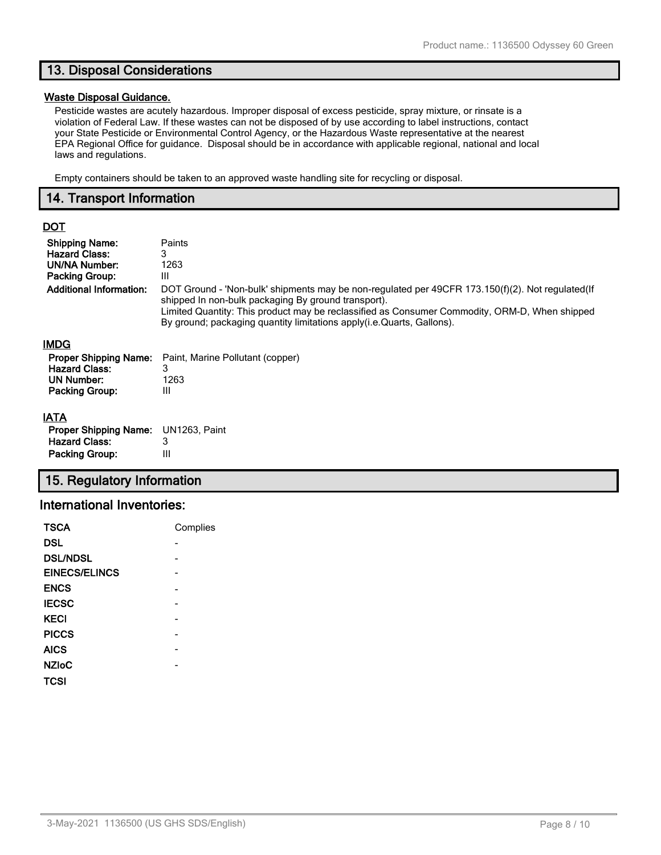## **13. Disposal Considerations**

#### **Waste Disposal Guidance.**

Pesticide wastes are acutely hazardous. Improper disposal of excess pesticide, spray mixture, or rinsate is a violation of Federal Law. If these wastes can not be disposed of by use according to label instructions, contact your State Pesticide or Environmental Control Agency, or the Hazardous Waste representative at the nearest EPA Regional Office for guidance. Disposal should be in accordance with applicable regional, national and local laws and regulations.

Empty containers should be taken to an approved waste handling site for recycling or disposal.

## **14. Transport Information**

## **DOT**

| <b>Shipping Name:</b><br><b>Hazard Class:</b><br><b>UN/NA Number:</b><br><b>Packing Group:</b><br><b>Additional Information:</b> | Paints<br>3<br>1263<br>Ш<br>DOT Ground - 'Non-bulk' shipments may be non-regulated per 49CFR 173.150(f)(2). Not regulated (If<br>shipped In non-bulk packaging By ground transport).<br>Limited Quantity: This product may be reclassified as Consumer Commodity, ORM-D, When shipped<br>By ground; packaging quantity limitations apply (i.e. Quarts, Gallons). |
|----------------------------------------------------------------------------------------------------------------------------------|------------------------------------------------------------------------------------------------------------------------------------------------------------------------------------------------------------------------------------------------------------------------------------------------------------------------------------------------------------------|
| <b>IMDG</b>                                                                                                                      |                                                                                                                                                                                                                                                                                                                                                                  |
| <b>Proper Shipping Name:</b>                                                                                                     | Paint, Marine Pollutant (copper)                                                                                                                                                                                                                                                                                                                                 |
| <b>Hazard Class:</b><br><b>UN Number:</b>                                                                                        | 3<br>1263                                                                                                                                                                                                                                                                                                                                                        |
| <b>Packing Group:</b>                                                                                                            | Ш                                                                                                                                                                                                                                                                                                                                                                |
| <b>IATA</b>                                                                                                                      |                                                                                                                                                                                                                                                                                                                                                                  |
| <b>Proper Shipping Name:</b>                                                                                                     | UN1263, Paint                                                                                                                                                                                                                                                                                                                                                    |
| <b>Hazard Class:</b>                                                                                                             | 3                                                                                                                                                                                                                                                                                                                                                                |
| <b>Packing Group:</b>                                                                                                            | Ш                                                                                                                                                                                                                                                                                                                                                                |

## **15. Regulatory Information**

## **International Inventories:**

| <b>TSCA</b>     | Complies |
|-----------------|----------|
| <b>DSL</b>      |          |
| <b>DSL/NDSL</b> |          |
| EINECS/ELINCS   |          |
| <b>ENCS</b>     |          |
| <b>IECSC</b>    |          |
| <b>KECI</b>     |          |
| <b>PICCS</b>    |          |
| <b>AICS</b>     |          |
| <b>NZIoC</b>    |          |
| <b>TCSI</b>     |          |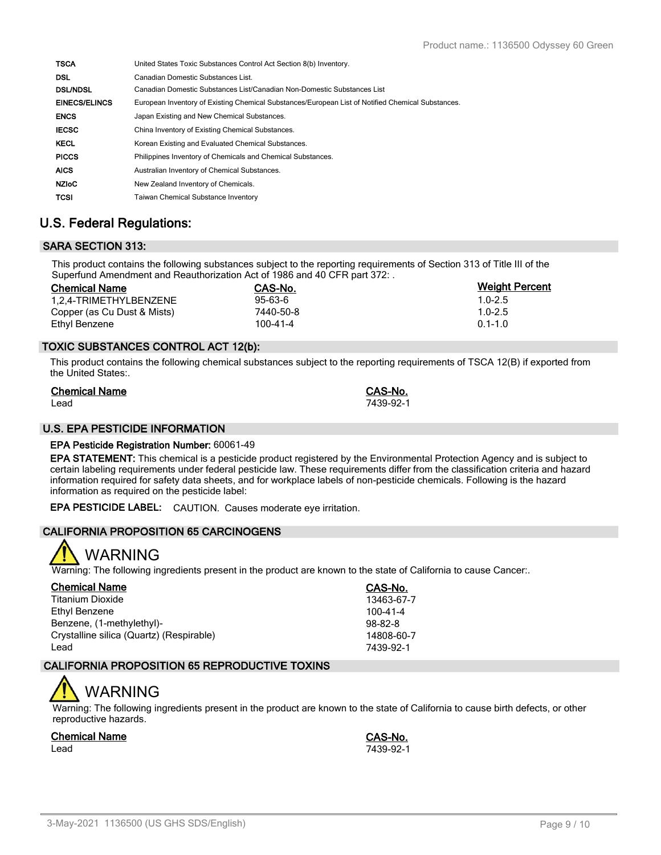| <b>TSCA</b>          | United States Toxic Substances Control Act Section 8(b) Inventory.                                |
|----------------------|---------------------------------------------------------------------------------------------------|
| <b>DSL</b>           | Canadian Domestic Substances List.                                                                |
| <b>DSL/NDSL</b>      | Canadian Domestic Substances List/Canadian Non-Domestic Substances List                           |
| <b>EINECS/ELINCS</b> | European Inventory of Existing Chemical Substances/European List of Notified Chemical Substances. |
| <b>ENCS</b>          | Japan Existing and New Chemical Substances.                                                       |
| <b>IECSC</b>         | China Inventory of Existing Chemical Substances.                                                  |
| <b>KECL</b>          | Korean Existing and Evaluated Chemical Substances.                                                |
| <b>PICCS</b>         | Philippines Inventory of Chemicals and Chemical Substances.                                       |
| <b>AICS</b>          | Australian Inventory of Chemical Substances.                                                      |
| <b>NZIOC</b>         | New Zealand Inventory of Chemicals.                                                               |
| <b>TCSI</b>          | <b>Taiwan Chemical Substance Inventory</b>                                                        |

## **U.S. Federal Regulations:**

## **SARA SECTION 313:**

This product contains the following substances subject to the reporting requirements of Section 313 of Title III of the Superfund Amendment and Reauthorization Act of 1986 and 40 CFR part 372: .

| <b>Chemical Name</b>        | CAS-No.        | <b>Weight Percent</b> |
|-----------------------------|----------------|-----------------------|
| 1.2.4-TRIMETHYLBENZENE      | $95 - 63 - 6$  | $1.0 - 2.5$           |
| Copper (as Cu Dust & Mists) | 7440-50-8      | $1.0 - 2.5$           |
| Ethyl Benzene               | $100 - 41 - 4$ | $0.1 - 1.0$           |

## **TOXIC SUBSTANCES CONTROL ACT 12(b):**

This product contains the following chemical substances subject to the reporting requirements of TSCA 12(B) if exported from the United States:.

| <b>Chemical Name</b> | CAS-No.   |
|----------------------|-----------|
| Lead                 | 7439-92-1 |

## **U.S. EPA PESTICIDE INFORMATION**

## **EPA Pesticide Registration Number:** 60061-49

**EPA STATEMENT:** This chemical is a pesticide product registered by the Environmental Protection Agency and is subject to certain labeling requirements under federal pesticide law. These requirements differ from the classification criteria and hazard information required for safety data sheets, and for workplace labels of non-pesticide chemicals. Following is the hazard information as required on the pesticide label:

**EPA PESTICIDE LABEL:** CAUTION. Causes moderate eye irritation.

## **CALIFORNIA PROPOSITION 65 CARCINOGENS**



Warning: The following ingredients present in the product are known to the state of California to cause Cancer:.

| <b>Chemical Name</b>                     | CAS-No.       |
|------------------------------------------|---------------|
| Titanium Dioxide                         | 13463-67-7    |
| Ethyl Benzene                            | 100-41-4      |
| Benzene, (1-methylethyl)-                | $98 - 82 - 8$ |
| Crystalline silica (Quartz) (Respirable) | 14808-60-7    |
| Lead                                     | 7439-92-1     |

## **CALIFORNIA PROPOSITION 65 REPRODUCTIVE TOXINS**

# WARNING

Warning: The following ingredients present in the product are known to the state of California to cause birth defects, or other reproductive hazards.

## **Chemical Name CAS-No.**

Lead 7439-92-1